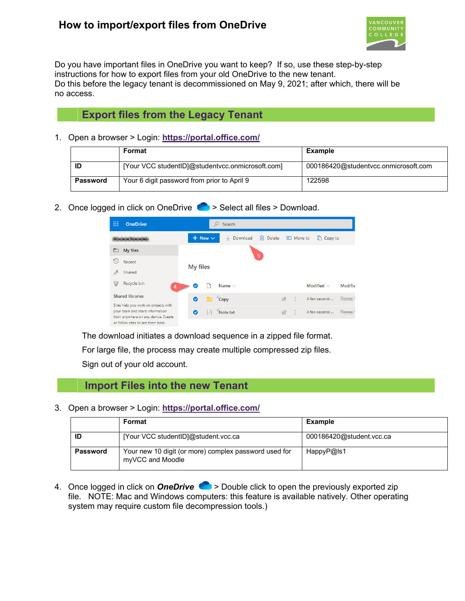## **How to import/export files from OneDrive**



Do you have important files in OneDrive you want to keep? If so, use these step-by-step instructions for how to export files from your old OneDrive to the new tenant. Do this before the legacy tenant is decommissioned on May 9, 2021; after which, there will be no access.

## **Export files from the Legacy Tenant**

1. Open a browser > Login: **<https://portal.office.com/>**

|                                                                | Format                                           | Example                              |  |  |  |
|----------------------------------------------------------------|--------------------------------------------------|--------------------------------------|--|--|--|
| ID                                                             | [Your VCC studentID]@studentycc.onmicrosoft.com] | 000186420@studentvcc.onmicrosoft.com |  |  |  |
| Your 6 digit password from prior to April 9<br><b>Password</b> |                                                  | 122598                               |  |  |  |

2. Once logged in click on OneDrive  $\bullet$  > Select all files > Download.

| 薑              | <b>OneDrive</b>                                                                                                |                |                                                                                                                                                                                                                                                                                                                                                                                                                                                                                 | Search        |             |                      |           |                 |                |
|----------------|----------------------------------------------------------------------------------------------------------------|----------------|---------------------------------------------------------------------------------------------------------------------------------------------------------------------------------------------------------------------------------------------------------------------------------------------------------------------------------------------------------------------------------------------------------------------------------------------------------------------------------|---------------|-------------|----------------------|-----------|-----------------|----------------|
|                |                                                                                                                | $+$ New $\vee$ |                                                                                                                                                                                                                                                                                                                                                                                                                                                                                 | Download<br>V | Delete<br>而 |                      | E Move to | Copy to         |                |
| ▭              | My files                                                                                                       |                |                                                                                                                                                                                                                                                                                                                                                                                                                                                                                 |               | 5           |                      |           |                 |                |
| 50             | Recent                                                                                                         |                |                                                                                                                                                                                                                                                                                                                                                                                                                                                                                 |               |             |                      |           |                 |                |
| ρ <sup>R</sup> | Shared                                                                                                         | My files       |                                                                                                                                                                                                                                                                                                                                                                                                                                                                                 |               |             |                      |           |                 |                |
| 同              | Recycle bin<br>$\overline{4}$                                                                                  | ◎              |                                                                                                                                                                                                                                                                                                                                                                                                                                                                                 | Name $\vee$   |             |                      |           | Modified $\vee$ | <b>Modifie</b> |
|                | <b>Shared libraries</b>                                                                                        | $\bullet$      | $\overline{\phantom{a}}$ $\overline{\phantom{a}}$ $\overline{\phantom{a}}$ $\overline{\phantom{a}}$ $\overline{\phantom{a}}$ $\overline{\phantom{a}}$ $\overline{\phantom{a}}$ $\overline{\phantom{a}}$ $\overline{\phantom{a}}$ $\overline{\phantom{a}}$ $\overline{\phantom{a}}$ $\overline{\phantom{a}}$ $\overline{\phantom{a}}$ $\overline{\phantom{a}}$ $\overline{\phantom{a}}$ $\overline{\phantom{a}}$ $\overline{\phantom{a}}$ $\overline{\phantom{a}}$ $\overline{\$ |               |             | $\overrightarrow{R}$ | ÷         | A few seconds   |                |
|                | Sites help you work on projects with<br>your team and share information<br>from anywhere on any device. Create | ◎              |                                                                                                                                                                                                                                                                                                                                                                                                                                                                                 | Note.txt      |             | 岭                    | - 9       | A few seconds   | <b>State</b>   |

The download initiates a download sequence in a zipped file format.

For large file, the process may create multiple compressed zip files.

Sign out of your old account.

## **Import Files into the new Tenant**

3. Open a browser > Login: **<https://portal.office.com/>**

|                 | Format                                                                    | Example                  |
|-----------------|---------------------------------------------------------------------------|--------------------------|
| ID              | [Your VCC studentID]@student.vcc.ca                                       | 000186420@student.vcc.ca |
| <b>Password</b> | Your new 10 digit (or more) complex password used for<br>myVCC and Moodle | HappyP@ls1               |

4. Once logged in click on **OneDrive** > Double click to open the previously exported zip file. NOTE: Mac and Windows computers: this feature is available natively. Other operating system may require custom file decompression tools.)